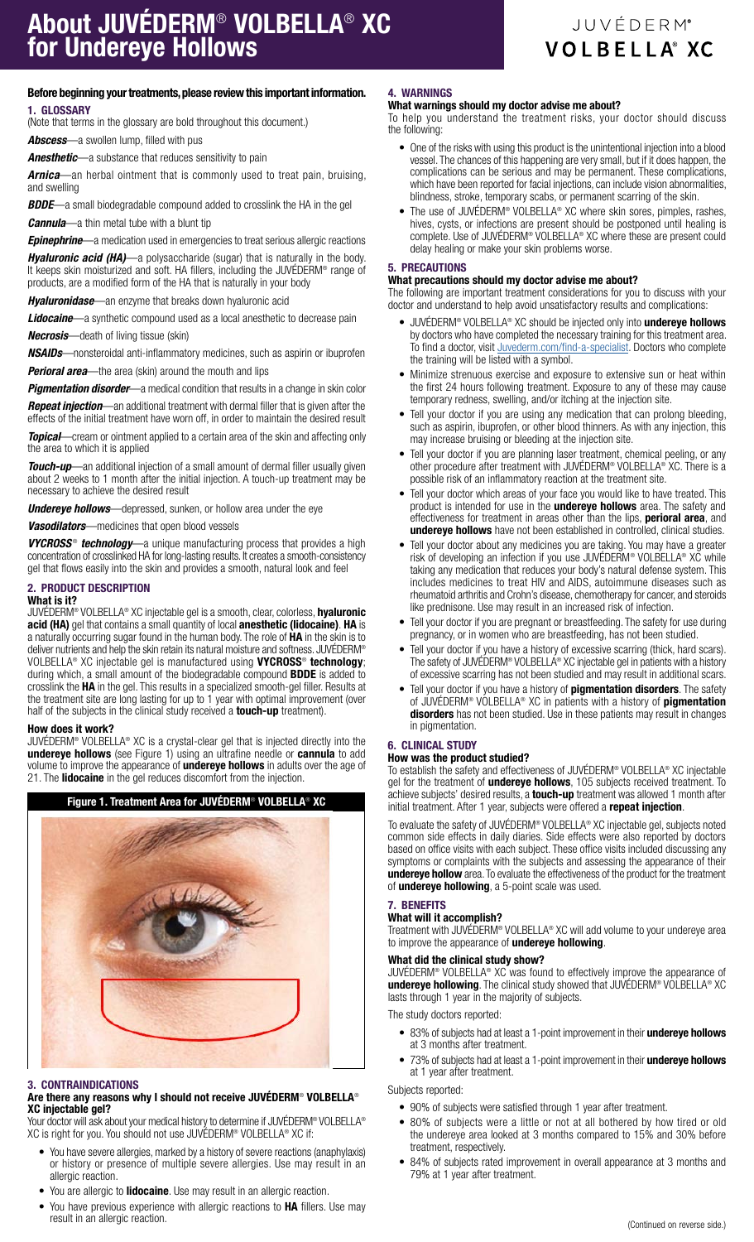## Before beginning your treatments, please review this important information. 1. GLOSSARY

(Note that terms in the glossary are bold throughout this document.)

*Abscess*—a swollen lump, filled with pus

*Anesthetic*—a substance that reduces sensitivity to pain

*Arnica*—an herbal ointment that is commonly used to treat pain, bruising, and swelling

*BDDE*—a small biodegradable compound added to crosslink the HA in the gel

*Cannula*—a thin metal tube with a blunt tip

*Epinephrine*—a medication used in emergencies to treat serious allergic reactions

*Hyaluronic acid (HA)*—a polysaccharide (sugar) that is naturally in the body. It keeps skin moisturized and soft. HA fillers, including the JUVÉDERM® range of products, are a modified form of the HA that is naturally in your body

*Hyaluronidase*—an enzyme that breaks down hyaluronic acid

*Lidocaine*—a synthetic compound used as a local anesthetic to decrease pain *Necrosis*—death of living tissue (skin)

*NSAIDs*—nonsteroidal anti-inflammatory medicines, such as aspirin or ibuprofen

**Perioral area**—the area (skin) around the mouth and lips

*Pigmentation disorder*—a medical condition that results in a change in skin color

*Repeat injection*—an additional treatment with dermal filler that is given after the effects of the initial treatment have worn off, in order to maintain the desired result

*Topical*—cream or ointment applied to a certain area of the skin and affecting only the area to which it is applied

**Touch-up**—an additional injection of a small amount of dermal filler usually given about 2 weeks to 1 month after the initial injection. A touch-up treatment may be necessary to achieve the desired result

*Undereye hollows*—depressed, sunken, or hollow area under the eye

*Vasodilators*—medicines that open blood vessels

**VYCROSS<sup>®</sup>** technology—a unique manufacturing process that provides a high concentration of crosslinked HA for long-lasting results. It creates a smooth-consistency gel that flows easily into the skin and provides a smooth, natural look and feel

## 2. PRODUCT DESCRIPTION

#### What is it?

JUVÉDERM® VOLBELLA® XC injectable gel is a smooth, clear, colorless, hyaluronic acid (HA) gel that contains a small quantity of local anesthetic (lidocaine). HA is a naturally occurring sugar found in the human body. The role of HA in the skin is to deliver nutrients and help the skin retain its natural moisture and softness. JUVÉDERM® VOLBELLA® XC injectable gel is manufactured using VYCROSS® technology; during which, a small amount of the biodegradable compound **BDDE** is added to crosslink the HA in the gel. This results in a specialized smooth-gel filler. Results at the treatment site are long lasting for up to 1 year with optimal improvement (over half of the subjects in the clinical study received a **touch-up** treatment).

## How does it work?

JUVÉDERM® VOLBELLA® XC is a crystal-clear gel that is injected directly into the undereye hollows (see Figure 1) using an ultrafine needle or cannula to add volume to improve the appearance of undereye hollows in adults over the age of 21. The lidocaine in the gel reduces discomfort from the injection.





## 3. CONTRAINDICATIONS

#### Are there any reasons why I should not receive JUVÉDERM® VOLBELLA® XC injectable gel?

Your doctor will ask about your medical history to determine if JUVÉDERM® VOLBELLA® XC is right for you. You should not use JUVÉDERM® VOLBELLA® XC if:

- You have severe allergies, marked by a history of severe reactions (anaphylaxis) or history or presence of multiple severe allergies. Use may result in an allergic reaction.
- You are allergic to **lidocaine**. Use may result in an allergic reaction.
- You have previous experience with allergic reactions to HA fillers. Use may result in an allergic reaction.

#### 4. WARNINGS What warnings should my doctor advise me about?

To help you understand the treatment risks, your doctor should discuss the following:

- One of the risks with using this product is the unintentional injection into a blood vessel. The chances of this happening are very small, but if it does happen, the complications can be serious and may be permanent. These complications, which have been reported for facial injections, can include vision abnormalities, blindness, stroke, temporary scabs, or permanent scarring of the skin.
- The use of JUVÉDERM® VOLBELLA® XC where skin sores, pimples, rashes, hives, cysts, or infections are present should be postponed until healing is complete. Use of JUVÉDERM® VOLBELLA® XC where these are present could delay healing or make your skin problems worse.

## 5. PRECAUTIONS

## What precautions should my doctor advise me about?

The following are important treatment considerations for you to discuss with your doctor and understand to help avoid unsatisfactory results and complications:

- JUVÉDERM<sup>®</sup> VOLBELLA<sup>®</sup> XC should be injected only into undereye hollows by doctors who have completed the necessary training for this treatment area. To find a doctor, visit [Juvederm.com/find-a-specialist](https://www.juvederm.com/find-a-specialist). Doctors who complete the training will be listed with a symbol.
- Minimize strenuous exercise and exposure to extensive sun or heat within the first 24 hours following treatment. Exposure to any of these may cause temporary redness, swelling, and/or itching at the injection site.
- Tell your doctor if you are using any medication that can prolong bleeding, such as aspirin, ibuprofen, or other blood thinners. As with any injection, this may increase bruising or bleeding at the injection site.
- Tell your doctor if you are planning laser treatment, chemical peeling, or any other procedure after treatment with JUVÉDERM® VOLBELLA® XC. There is a possible risk of an inflammatory reaction at the treatment site.
- Tell your doctor which areas of your face you would like to have treated. This product is intended for use in the undereye hollows area. The safety and effectiveness for treatment in areas other than the lips, perioral area, and undereye hollows have not been established in controlled, clinical studies.
- Tell your doctor about any medicines you are taking. You may have a greater risk of developing an infection if you use JUVÉDERM® VOLBELLA® XC while taking any medication that reduces your body's natural defense system. This includes medicines to treat HIV and AIDS, autoimmune diseases such as rheumatoid arthritis and Crohn's disease, chemotherapy for cancer, and steroids like prednisone. Use may result in an increased risk of infection.
- Tell your doctor if you are pregnant or breastfeeding. The safety for use during pregnancy, or in women who are breastfeeding, has not been studied.
- Tell your doctor if you have a history of excessive scarring (thick, hard scars). The safety of JUVÉDERM® VOLBELLA® XC injectable gel in patients with a history of excessive scarring has not been studied and may result in additional scars.
- Tell your doctor if you have a history of **pigmentation disorders**. The safety of JUVÉDERM® VOLBELLA® XC in patients with a history of **pigmentation** disorders has not been studied. Use in these patients may result in changes in pigmentation.

#### 6. CLINICAL STUDY

#### How was the product studied?

To establish the safety and effectiveness of JUVÉDERM® VOLBELLA® XC injectable gel for the treatment of *undereye hollows*, 105 subjects received treatment. To achieve subjects' desired results, a **touch-up** treatment was allowed 1 month after initial treatment. After 1 year, subjects were offered a repeat injection.

To evaluate the safety of JUVÉDERM® VOLBELLA® XC injectable gel, subjects noted common side effects in daily diaries. Side effects were also reported by doctors based on office visits with each subject. These office visits included discussing any symptoms or complaints with the subjects and assessing the appearance of their undereye hollow area. To evaluate the effectiveness of the product for the treatment of undereye hollowing, a 5-point scale was used.

#### 7. BENEFITS

## What will it accomplish?

Treatment with JUVÉDERM® VOLBELLA® XC will add volume to your undereye area to improve the appearance of undereye hollowing.

#### What did the clinical study show?

JUVÉDERM® VOLBELLA® XC was found to effectively improve the appearance of undereye hollowing. The clinical study showed that JUVÉDERM® VOLBELLA® XC lasts through 1 year in the majority of subjects.

The study doctors reported:

- 83% of subjects had at least a 1-point improvement in their undereye hollows at 3 months after treatment.
- 73% of subjects had at least a 1-point improvement in their undereye hollows at 1 year after treatment.

Subjects reported:

- 90% of subjects were satisfied through 1 year after treatment.
- 80% of subjects were a little or not at all bothered by how tired or old the undereye area looked at 3 months compared to 15% and 30% before treatment, respectively.
- 84% of subjects rated improvement in overall appearance at 3 months and 79% at 1 year after treatment.

# JUVÉDERM® **VOLBELLA® XC**